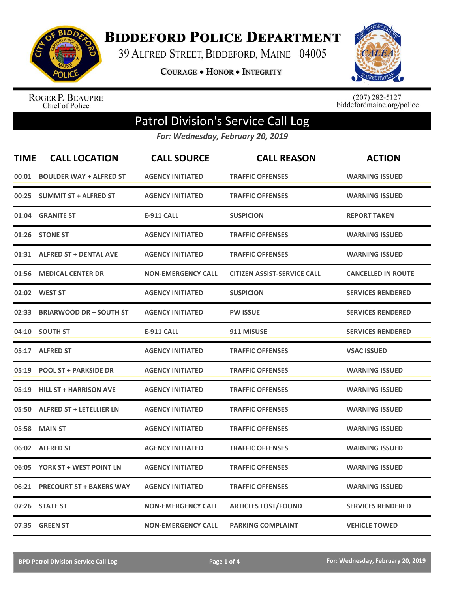

**BIDDEFORD POLICE DEPARTMENT** 

39 ALFRED STREET, BIDDEFORD, MAINE 04005

**COURAGE . HONOR . INTEGRITY** 



ROGER P. BEAUPRE<br>Chief of Police

 $(207)$  282-5127<br>biddefordmaine.org/police

## Patrol Division's Service Call Log

*For: Wednesday, February 20, 2019*

| <b>TIME</b> | <b>CALL LOCATION</b>            | <b>CALL SOURCE</b>        | <b>CALL REASON</b>                 | <b>ACTION</b>             |
|-------------|---------------------------------|---------------------------|------------------------------------|---------------------------|
| 00:01       | <b>BOULDER WAY + ALFRED ST</b>  | <b>AGENCY INITIATED</b>   | <b>TRAFFIC OFFENSES</b>            | <b>WARNING ISSUED</b>     |
| 00:25       | <b>SUMMIT ST + ALFRED ST</b>    | <b>AGENCY INITIATED</b>   | <b>TRAFFIC OFFENSES</b>            | <b>WARNING ISSUED</b>     |
| 01:04       | <b>GRANITE ST</b>               | <b>E-911 CALL</b>         | <b>SUSPICION</b>                   | <b>REPORT TAKEN</b>       |
| 01:26       | <b>STONE ST</b>                 | <b>AGENCY INITIATED</b>   | <b>TRAFFIC OFFENSES</b>            | <b>WARNING ISSUED</b>     |
| 01:31       | <b>ALFRED ST + DENTAL AVE</b>   | <b>AGENCY INITIATED</b>   | <b>TRAFFIC OFFENSES</b>            | <b>WARNING ISSUED</b>     |
| 01:56       | <b>MEDICAL CENTER DR</b>        | <b>NON-EMERGENCY CALL</b> | <b>CITIZEN ASSIST-SERVICE CALL</b> | <b>CANCELLED IN ROUTE</b> |
| 02:02       | <b>WEST ST</b>                  | <b>AGENCY INITIATED</b>   | <b>SUSPICION</b>                   | <b>SERVICES RENDERED</b>  |
| 02:33       | <b>BRIARWOOD DR + SOUTH ST</b>  | <b>AGENCY INITIATED</b>   | <b>PW ISSUE</b>                    | <b>SERVICES RENDERED</b>  |
| 04:10       | <b>SOUTH ST</b>                 | <b>E-911 CALL</b>         | 911 MISUSE                         | <b>SERVICES RENDERED</b>  |
| 05:17       | <b>ALFRED ST</b>                | <b>AGENCY INITIATED</b>   | <b>TRAFFIC OFFENSES</b>            | <b>VSAC ISSUED</b>        |
| 05:19       | <b>POOL ST + PARKSIDE DR</b>    | <b>AGENCY INITIATED</b>   | <b>TRAFFIC OFFENSES</b>            | <b>WARNING ISSUED</b>     |
| 05:19       | <b>HILL ST + HARRISON AVE</b>   | <b>AGENCY INITIATED</b>   | <b>TRAFFIC OFFENSES</b>            | <b>WARNING ISSUED</b>     |
| 05:50       | <b>ALFRED ST + LETELLIER LN</b> | <b>AGENCY INITIATED</b>   | <b>TRAFFIC OFFENSES</b>            | <b>WARNING ISSUED</b>     |
| 05:58       | <b>MAIN ST</b>                  | <b>AGENCY INITIATED</b>   | <b>TRAFFIC OFFENSES</b>            | <b>WARNING ISSUED</b>     |
|             | 06:02 ALFRED ST                 | <b>AGENCY INITIATED</b>   | <b>TRAFFIC OFFENSES</b>            | <b>WARNING ISSUED</b>     |
| 06:05       | YORK ST + WEST POINT LN         | <b>AGENCY INITIATED</b>   | <b>TRAFFIC OFFENSES</b>            | <b>WARNING ISSUED</b>     |
| 06:21       | <b>PRECOURT ST + BAKERS WAY</b> | <b>AGENCY INITIATED</b>   | <b>TRAFFIC OFFENSES</b>            | <b>WARNING ISSUED</b>     |
|             | 07:26 STATE ST                  | <b>NON-EMERGENCY CALL</b> | <b>ARTICLES LOST/FOUND</b>         | <b>SERVICES RENDERED</b>  |
|             | 07:35 GREEN ST                  | <b>NON-EMERGENCY CALL</b> | <b>PARKING COMPLAINT</b>           | <b>VEHICLE TOWED</b>      |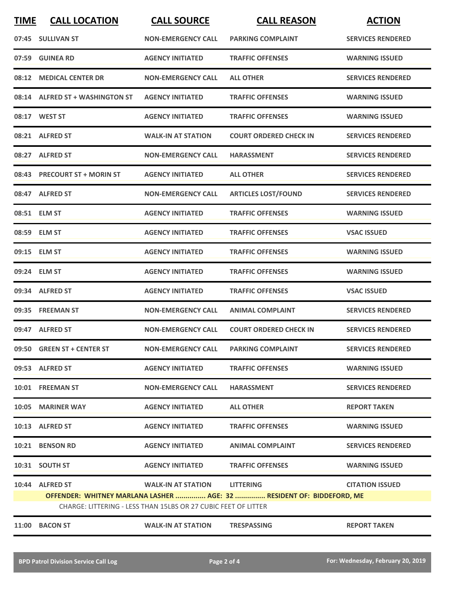| <b>TIME</b> | <b>CALL LOCATION</b>                                                  | <b>CALL SOURCE</b>        | <b>CALL REASON</b>            | <b>ACTION</b>            |  |
|-------------|-----------------------------------------------------------------------|---------------------------|-------------------------------|--------------------------|--|
|             | 07:45 SULLIVAN ST                                                     | <b>NON-EMERGENCY CALL</b> | <b>PARKING COMPLAINT</b>      | <b>SERVICES RENDERED</b> |  |
| 07:59       | <b>GUINEA RD</b>                                                      | <b>AGENCY INITIATED</b>   | <b>TRAFFIC OFFENSES</b>       | <b>WARNING ISSUED</b>    |  |
|             | 08:12 MEDICAL CENTER DR                                               | <b>NON-EMERGENCY CALL</b> | <b>ALL OTHER</b>              | <b>SERVICES RENDERED</b> |  |
|             | 08:14 ALFRED ST + WASHINGTON ST                                       | <b>AGENCY INITIATED</b>   | <b>TRAFFIC OFFENSES</b>       | <b>WARNING ISSUED</b>    |  |
|             | 08:17 WEST ST                                                         | <b>AGENCY INITIATED</b>   | <b>TRAFFIC OFFENSES</b>       | <b>WARNING ISSUED</b>    |  |
|             | 08:21 ALFRED ST                                                       | <b>WALK-IN AT STATION</b> | <b>COURT ORDERED CHECK IN</b> | <b>SERVICES RENDERED</b> |  |
|             | 08:27 ALFRED ST                                                       | <b>NON-EMERGENCY CALL</b> | <b>HARASSMENT</b>             | <b>SERVICES RENDERED</b> |  |
|             | 08:43 PRECOURT ST + MORIN ST                                          | <b>AGENCY INITIATED</b>   | <b>ALL OTHER</b>              | <b>SERVICES RENDERED</b> |  |
|             | 08:47 ALFRED ST                                                       | <b>NON-EMERGENCY CALL</b> | <b>ARTICLES LOST/FOUND</b>    | <b>SERVICES RENDERED</b> |  |
|             | 08:51 ELM ST                                                          | <b>AGENCY INITIATED</b>   | <b>TRAFFIC OFFENSES</b>       | <b>WARNING ISSUED</b>    |  |
|             | 08:59 ELM ST                                                          | <b>AGENCY INITIATED</b>   | <b>TRAFFIC OFFENSES</b>       | <b>VSAC ISSUED</b>       |  |
|             | 09:15 ELM ST                                                          | <b>AGENCY INITIATED</b>   | <b>TRAFFIC OFFENSES</b>       | <b>WARNING ISSUED</b>    |  |
|             | 09:24 ELM ST                                                          | <b>AGENCY INITIATED</b>   | <b>TRAFFIC OFFENSES</b>       | <b>WARNING ISSUED</b>    |  |
|             | 09:34 ALFRED ST                                                       | <b>AGENCY INITIATED</b>   | <b>TRAFFIC OFFENSES</b>       | <b>VSAC ISSUED</b>       |  |
|             | 09:35 FREEMAN ST                                                      | <b>NON-EMERGENCY CALL</b> | <b>ANIMAL COMPLAINT</b>       | <b>SERVICES RENDERED</b> |  |
|             | 09:47 ALFRED ST                                                       | <b>NON-EMERGENCY CALL</b> | <b>COURT ORDERED CHECK IN</b> | <b>SERVICES RENDERED</b> |  |
|             | 09:50 GREEN ST + CENTER ST                                            | <b>NON-EMERGENCY CALL</b> | <b>PARKING COMPLAINT</b>      | <b>SERVICES RENDERED</b> |  |
|             | 09:53 ALFRED ST                                                       | <b>AGENCY INITIATED</b>   | <b>TRAFFIC OFFENSES</b>       | <b>WARNING ISSUED</b>    |  |
|             | 10:01 FREEMAN ST                                                      | <b>NON-EMERGENCY CALL</b> | <b>HARASSMENT</b>             | <b>SERVICES RENDERED</b> |  |
|             | 10:05 MARINER WAY                                                     | <b>AGENCY INITIATED</b>   | <b>ALL OTHER</b>              | <b>REPORT TAKEN</b>      |  |
|             | 10:13 ALFRED ST                                                       | <b>AGENCY INITIATED</b>   | <b>TRAFFIC OFFENSES</b>       | <b>WARNING ISSUED</b>    |  |
|             | 10:21 BENSON RD                                                       | <b>AGENCY INITIATED</b>   | <b>ANIMAL COMPLAINT</b>       | <b>SERVICES RENDERED</b> |  |
|             | 10:31 SOUTH ST                                                        | <b>AGENCY INITIATED</b>   | <b>TRAFFIC OFFENSES</b>       | <b>WARNING ISSUED</b>    |  |
|             | 10:44 ALFRED ST                                                       | <b>WALK-IN AT STATION</b> | <b>LITTERING</b>              | <b>CITATION ISSUED</b>   |  |
|             | OFFENDER: WHITNEY MARLANA LASHER  AGE: 32  RESIDENT OF: BIDDEFORD, ME |                           |                               |                          |  |
|             | CHARGE: LITTERING - LESS THAN 15LBS OR 27 CUBIC FEET OF LITTER        |                           |                               |                          |  |
|             | 11:00 BACON ST                                                        | <b>WALK-IN AT STATION</b> | <b>TRESPASSING</b>            | <b>REPORT TAKEN</b>      |  |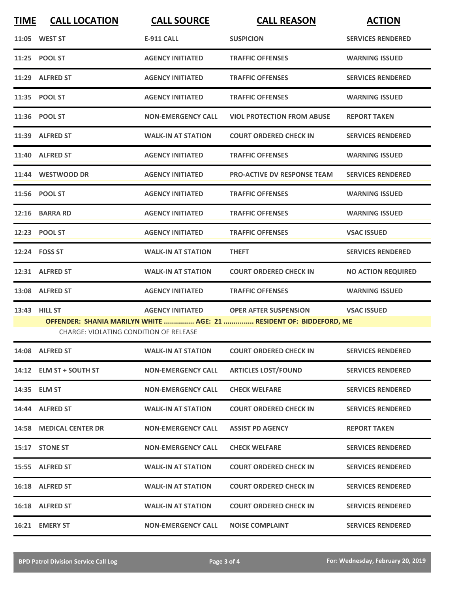| <b>TIME</b> | <b>CALL LOCATION</b>                   | <b>CALL SOURCE</b>        | <b>CALL REASON</b>                                                  | <b>ACTION</b>             |
|-------------|----------------------------------------|---------------------------|---------------------------------------------------------------------|---------------------------|
|             | 11:05 WEST ST                          | <b>E-911 CALL</b>         | <b>SUSPICION</b>                                                    | <b>SERVICES RENDERED</b>  |
|             | 11:25 POOL ST                          | <b>AGENCY INITIATED</b>   | <b>TRAFFIC OFFENSES</b>                                             | <b>WARNING ISSUED</b>     |
|             | 11:29 ALFRED ST                        | <b>AGENCY INITIATED</b>   | <b>TRAFFIC OFFENSES</b>                                             | <b>SERVICES RENDERED</b>  |
|             | 11:35 POOL ST                          | <b>AGENCY INITIATED</b>   | <b>TRAFFIC OFFENSES</b>                                             | <b>WARNING ISSUED</b>     |
|             | 11:36 POOL ST                          | <b>NON-EMERGENCY CALL</b> | <b>VIOL PROTECTION FROM ABUSE</b>                                   | <b>REPORT TAKEN</b>       |
|             | 11:39 ALFRED ST                        | <b>WALK-IN AT STATION</b> | <b>COURT ORDERED CHECK IN</b>                                       | <b>SERVICES RENDERED</b>  |
|             | 11:40 ALFRED ST                        | <b>AGENCY INITIATED</b>   | <b>TRAFFIC OFFENSES</b>                                             | <b>WARNING ISSUED</b>     |
|             | 11:44 WESTWOOD DR                      | <b>AGENCY INITIATED</b>   | <b>PRO-ACTIVE DV RESPONSE TEAM</b>                                  | <b>SERVICES RENDERED</b>  |
|             | 11:56 POOL ST                          | <b>AGENCY INITIATED</b>   | <b>TRAFFIC OFFENSES</b>                                             | <b>WARNING ISSUED</b>     |
|             | 12:16 BARRA RD                         | <b>AGENCY INITIATED</b>   | <b>TRAFFIC OFFENSES</b>                                             | <b>WARNING ISSUED</b>     |
|             | 12:23 POOL ST                          | <b>AGENCY INITIATED</b>   | <b>TRAFFIC OFFENSES</b>                                             | <b>VSAC ISSUED</b>        |
|             | 12:24 FOSS ST                          | <b>WALK-IN AT STATION</b> | <b>THEFT</b>                                                        | <b>SERVICES RENDERED</b>  |
|             | 12:31 ALFRED ST                        | <b>WALK-IN AT STATION</b> | <b>COURT ORDERED CHECK IN</b>                                       | <b>NO ACTION REQUIRED</b> |
|             | 13:08 ALFRED ST                        | <b>AGENCY INITIATED</b>   | <b>TRAFFIC OFFENSES</b>                                             | <b>WARNING ISSUED</b>     |
|             | 13:43 HILL ST                          | <b>AGENCY INITIATED</b>   | <b>OPER AFTER SUSPENSION</b>                                        | <b>VSAC ISSUED</b>        |
|             | CHARGE: VIOLATING CONDITION OF RELEASE |                           | OFFENDER: SHANIA MARILYN WHITE  AGE: 21  RESIDENT OF: BIDDEFORD, ME |                           |
|             | 14:08 ALFRED ST                        | <b>WALK-IN AT STATION</b> | <b>COURT ORDERED CHECK IN</b>                                       | <b>SERVICES RENDERED</b>  |
|             | 14:12 ELM ST + SOUTH ST                | <b>NON-EMERGENCY CALL</b> | <b>ARTICLES LOST/FOUND</b>                                          | <b>SERVICES RENDERED</b>  |
|             | 14:35 ELM ST                           | <b>NON-EMERGENCY CALL</b> | <b>CHECK WELFARE</b>                                                | <b>SERVICES RENDERED</b>  |
|             | 14:44 ALFRED ST                        | <b>WALK-IN AT STATION</b> | <b>COURT ORDERED CHECK IN</b>                                       | <b>SERVICES RENDERED</b>  |
|             | 14:58 MEDICAL CENTER DR                | <b>NON-EMERGENCY CALL</b> | <b>ASSIST PD AGENCY</b>                                             | <b>REPORT TAKEN</b>       |
|             | 15:17 STONE ST                         | <b>NON-EMERGENCY CALL</b> | <b>CHECK WELFARE</b>                                                | <b>SERVICES RENDERED</b>  |
|             | 15:55 ALFRED ST                        | <b>WALK-IN AT STATION</b> | <b>COURT ORDERED CHECK IN</b>                                       | <b>SERVICES RENDERED</b>  |
|             | 16:18 ALFRED ST                        | <b>WALK-IN AT STATION</b> | <b>COURT ORDERED CHECK IN</b>                                       | <b>SERVICES RENDERED</b>  |
|             | 16:18 ALFRED ST                        | <b>WALK-IN AT STATION</b> | <b>COURT ORDERED CHECK IN</b>                                       | <b>SERVICES RENDERED</b>  |
|             | 16:21 EMERY ST                         | <b>NON-EMERGENCY CALL</b> | <b>NOISE COMPLAINT</b>                                              | <b>SERVICES RENDERED</b>  |